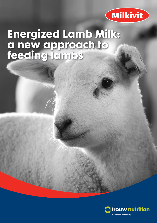

# **Energized Lamb Milk: a new approach to feeding lambs**

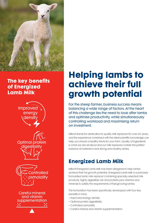

## **The key benefits of Energized Lamb Milk**



**Optimal pro** 

.<br>**Controlled** smolality

**Careful mineral** and vitamin supplementation

## **Helping lambs to achieve their full growth potential**

For the sheep farmer, business success means balancing a wide range of factors. At the heart of this challenge lies the need to look after lambs and optimise productivity, while simultaneously controlling workload and maximising return on investment.

Milkivit stands for dedication to quality milk replacers for over 60 years, and this experience combined with the latest scientific knowledge can help you ensure a healthy future for your farm. Quality of ingredients is what we are all about and our milk replacers contain the perfect balance of nutrients to rear strong and healthy lambs.

## **Energized Lamb Milk**

Milkivit Energized Lamb Milk has been designed to help lambs achieve their full growth potential. Energized Lamb Milk is a precisely formulated lamb milk replacer containing specially selected milk products, highly digestible oils and proteins plus vitamins and minerals to satisfy the requirements of fast-growing lambs.

The formulation has been specifically developed with four key benefits in mind:

- Improved energy density
- Optimal protein digestibility
- Controlled osmolality
- Careful mineral and vitamin supplementation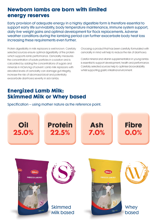### **Newborn lambs are born with limited energy reserves**

Early provision of adequate energy in a highly digestible form is therefore essential to support early life survivability, body temperature maintenance, immune system support, daily live weight gains and optimal development for flock replacements. Adverse weather conditions during the lambing period can further exacerbate body heat loss increasing these requirements even further.

Protein digestibility in milk replacers is well known. Carefully selected sources ensure optimal digestibility of the protein which supports lamb performance. Osmolality measures the concentration of solute particles in a solution and is calculated by adding the concentrations of sugars and minerals in mOsm/kg of solvent. Lamb milk replacers with elevated levels of osmolality can damage gut integrity, increase the risk of abomasal bloat and potentially exacerbate diarrhoea severity in sick lambs.

Choosing a product that has been carefully formulated with osmolality in mind will help to reduce the risk of diarrhoea.

Careful mineral and vitamin supplementation in young lambs is essential to support development, health and performance. Carefully selected sources help to optimise bioavailability whilst supporting gastro intestinal environment.

## **Energized Lamb Milk: Skimmed Milk or Whey based**

Specification – using mother nature as the reference point.